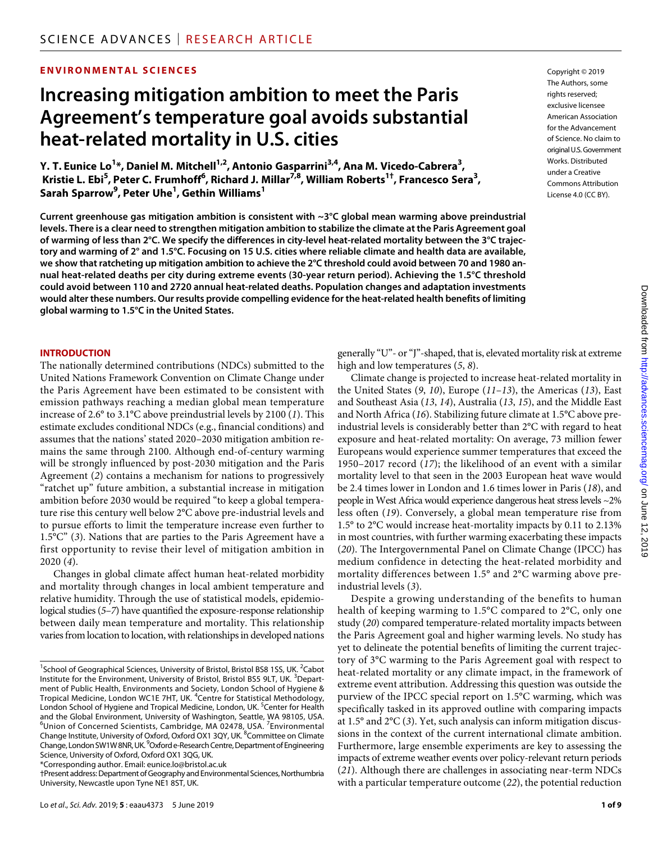# **ENVIRONMENTAL SCIENCES**

# **Increasing mitigation ambition to meet the Paris Agreement's temperature goal avoids substantial heat-related mortality in U.S. cities**

**Y. T. Eunice Lo<sup>1</sup>\*, Daniel M. Mitchell<sup>1,2</sup>, Antonio Gasparrini<sup>3,4</sup>, Ana M. Vicedo-Cabrera<sup>3</sup>,** Kristie L. Ebi<sup>5</sup>, Peter C. Frumhoff<sup>6</sup>, Richard J. Millar<sup>7,8</sup>, William Roberts<sup>1†</sup>, Francesco Sera<sup>3</sup>, **Sarah Sparrow9 , Peter Uhe1 , Gethin Williams1**

**Current greenhouse gas mitigation ambition is consistent with ~3°C global mean warming above preindustrial levels. There is a clear need to strengthen mitigation ambition to stabilize the climate at the Paris Agreement goal of warming of less than 2°C. We specify the differences in city-level heat-related mortality between the 3°C trajectory and warming of 2° and 1.5°C. Focusing on 15 U.S. cities where reliable climate and health data are available, we show that ratcheting up mitigation ambition to achieve the 2°C threshold could avoid between 70 and 1980 annual heat-related deaths per city during extreme events (30-year return period). Achieving the 1.5°C threshold could avoid between 110 and 2720 annual heat-related deaths. Population changes and adaptation investments would alter these numbers. Our results provide compelling evidence for the heat-related health benefits of limiting global warming to 1.5°C in the United States.**

#### **INTRODUCTION**

The nationally determined contributions (NDCs) submitted to the United Nations Framework Convention on Climate Change under the Paris Agreement have been estimated to be consistent with emission pathways reaching a median global mean temperature increase of 2.6° to 3.1°C above preindustrial levels by 2100 (*1*). This estimate excludes conditional NDCs (e.g., financial conditions) and assumes that the nations' stated 2020–2030 mitigation ambition remains the same through 2100. Although end-of-century warming will be strongly influenced by post-2030 mitigation and the Paris Agreement (*2*) contains a mechanism for nations to progressively "ratchet up" future ambition, a substantial increase in mitigation ambition before 2030 would be required "to keep a global temperature rise this century well below 2°C above pre-industrial levels and to pursue efforts to limit the temperature increase even further to 1.5°C" (*3*). Nations that are parties to the Paris Agreement have a first opportunity to revise their level of mitigation ambition in 2020 (*4*).

Changes in global climate affect human heat-related morbidity and mortality through changes in local ambient temperature and relative humidity. Through the use of statistical models, epidemiological studies (*5*–*7*) have quantified the exposure-response relationship between daily mean temperature and mortality. This relationship varies from location to location, with relationships in developed nations

\*Corresponding author. Email: eunice.lo@bristol.ac.uk

Copyright © 2019 The Authors, some rights reserved: exclusive licensee American Association for the Advancement of Science. No claim to original U.S.Government Works. Distributed under a Creative Commons Attribution License 4.0 (CC BY).

generally "U"- or "J"-shaped, that is, elevated mortality risk at extreme high and low temperatures (*5*, *8*).

Climate change is projected to increase heat-related mortality in the United States (*9*, *10*), Europe (*11*–*13*), the Americas (*13*), East and Southeast Asia (*13*, *14*), Australia (*13*, *15*), and the Middle East and North Africa (*16*). Stabilizing future climate at 1.5°C above preindustrial levels is considerably better than 2°C with regard to heat exposure and heat-related mortality: On average, 73 million fewer Europeans would experience summer temperatures that exceed the 1950–2017 record (*17*); the likelihood of an event with a similar mortality level to that seen in the 2003 European heat wave would be 2.4 times lower in London and 1.6 times lower in Paris (*18*), and people in West Africa would experience dangerous heat stress levels ~2% less often (*19*). Conversely, a global mean temperature rise from 1.5° to 2°C would increase heat-mortality impacts by 0.11 to 2.13% in most countries, with further warming exacerbating these impacts (*20*). The Intergovernmental Panel on Climate Change (IPCC) has medium confidence in detecting the heat-related morbidity and mortality differences between 1.5° and 2°C warming above preindustrial levels (*3*).

Despite a growing understanding of the benefits to human health of keeping warming to 1.5°C compared to 2°C, only one study (*20*) compared temperature-related mortality impacts between the Paris Agreement goal and higher warming levels. No study has yet to delineate the potential benefits of limiting the current trajectory of 3°C warming to the Paris Agreement goal with respect to heat-related mortality or any climate impact, in the framework of extreme event attribution. Addressing this question was outside the purview of the IPCC special report on 1.5°C warming, which was specifically tasked in its approved outline with comparing impacts at 1.5° and 2°C (*3*). Yet, such analysis can inform mitigation discussions in the context of the current international climate ambition. Furthermore, large ensemble experiments are key to assessing the impacts of extreme weather events over policy-relevant return periods (*21*). Although there are challenges in associating near-term NDCs with a particular temperature outcome (*22*), the potential reduction

<sup>&</sup>lt;sup>1</sup>School of Geographical Sciences, University of Bristol, Bristol BS8 1SS, UK. <sup>2</sup>Cabot Institute for the Environment, University of Bristol, Bristol BS5 9LT, UK. <sup>3</sup>Department of Public Health, Environments and Society, London School of Hygiene & Tropical Medicine, London WC1E 7HT, UK. <sup>4</sup>Centre for Statistical Methodology, London School of Hygiene and Tropical Medicine, London, UK. <sup>5</sup>Center for Health and the Global Environment, University of Washington, Seattle, WA 98105, USA. <sup>6</sup>Union of Concerned Scientists, Cambridge, MA 02478, USA. <sup>7</sup>Environmental Change Institute, University of Oxford, Oxford OX1 3QY, UK. <sup>8</sup>Committee on Climate Change, London SW1W 8NR, UK. <sup>9</sup>Oxford e-Research Centre, Department of Engineering Science, University of Oxford, Oxford OX1 3QG, UK.

<sup>†</sup>Present address: Department of Geography and Environmental Sciences, Northumbria University, Newcastle upon Tyne NE1 8ST, UK.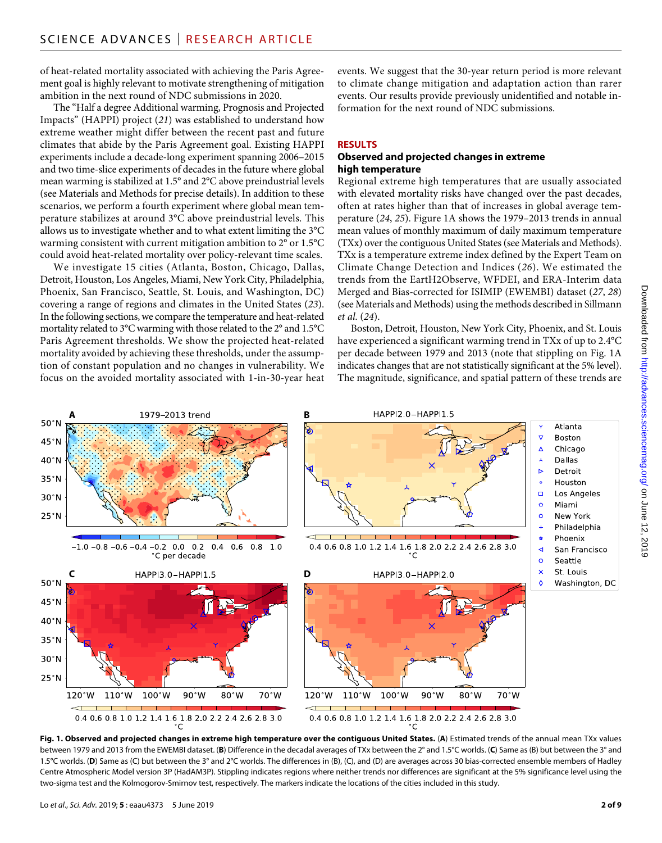of heat-related mortality associated with achieving the Paris Agreement goal is highly relevant to motivate strengthening of mitigation ambition in the next round of NDC submissions in 2020.

The "Half a degree Additional warming, Prognosis and Projected Impacts" (HAPPI) project (*21*) was established to understand how extreme weather might differ between the recent past and future climates that abide by the Paris Agreement goal. Existing HAPPI experiments include a decade-long experiment spanning 2006–2015 and two time-slice experiments of decades in the future where global mean warming is stabilized at 1.5° and 2°C above preindustrial levels (see Materials and Methods for precise details). In addition to these scenarios, we perform a fourth experiment where global mean temperature stabilizes at around 3°C above preindustrial levels. This allows us to investigate whether and to what extent limiting the 3°C warming consistent with current mitigation ambition to 2° or 1.5°C could avoid heat-related mortality over policy-relevant time scales.

We investigate 15 cities (Atlanta, Boston, Chicago, Dallas, Detroit, Houston, Los Angeles, Miami, New York City, Philadelphia, Phoenix, San Francisco, Seattle, St. Louis, and Washington, DC) covering a range of regions and climates in the United States (*23*). In the following sections, we compare the temperature and heat-related mortality related to 3°C warming with those related to the 2° and 1.5°C Paris Agreement thresholds. We show the projected heat-related mortality avoided by achieving these thresholds, under the assumption of constant population and no changes in vulnerability. We focus on the avoided mortality associated with 1-in-30-year heat events. We suggest that the 30-year return period is more relevant to climate change mitigation and adaptation action than rarer events. Our results provide previously unidentified and notable information for the next round of NDC submissions.

# **RESULTS**

#### **Observed and projected changes in extreme high temperature**

Regional extreme high temperatures that are usually associated with elevated mortality risks have changed over the past decades, often at rates higher than that of increases in global average temperature (*24*, *25*). Figure 1A shows the 1979–2013 trends in annual mean values of monthly maximum of daily maximum temperature (TXx) over the contiguous United States (see Materials and Methods). TXx is a temperature extreme index defined by the Expert Team on Climate Change Detection and Indices (*26*). We estimated the trends from the EartH2Observe, WFDEI, and ERA-Interim data Merged and Bias-corrected for ISIMIP (EWEMBI) dataset (*27*, *28*) (see Materials and Methods) using the methods described in Sillmann *et al.* (*24*).

Boston, Detroit, Houston, New York City, Phoenix, and St. Louis have experienced a significant warming trend in TXx of up to 2.4°C per decade between 1979 and 2013 (note that stippling on Fig. 1A indicates changes that are not statistically significant at the 5% level). The magnitude, significance, and spatial pattern of these trends are



**Fig. 1. Observed and projected changes in extreme high temperature over the contiguous United States.** (**A**) Estimated trends of the annual mean TXx values between 1979 and 2013 from the EWEMBI dataset. (**B**) Difference in the decadal averages of TXx between the 2° and 1.5°C worlds. (**C**) Same as (B) but between the 3° and 1.5°C worlds. (D) Same as (C) but between the 3° and 2°C worlds. The differences in (B), (C), and (D) are averages across 30 bias-corrected ensemble members of Hadley Centre Atmospheric Model version 3P (HadAM3P). Stippling indicates regions where neither trends nor differences are significant at the 5% significance level using the two-sigma test and the Kolmogorov-Smirnov test, respectively. The markers indicate the locations of the cities included in this study.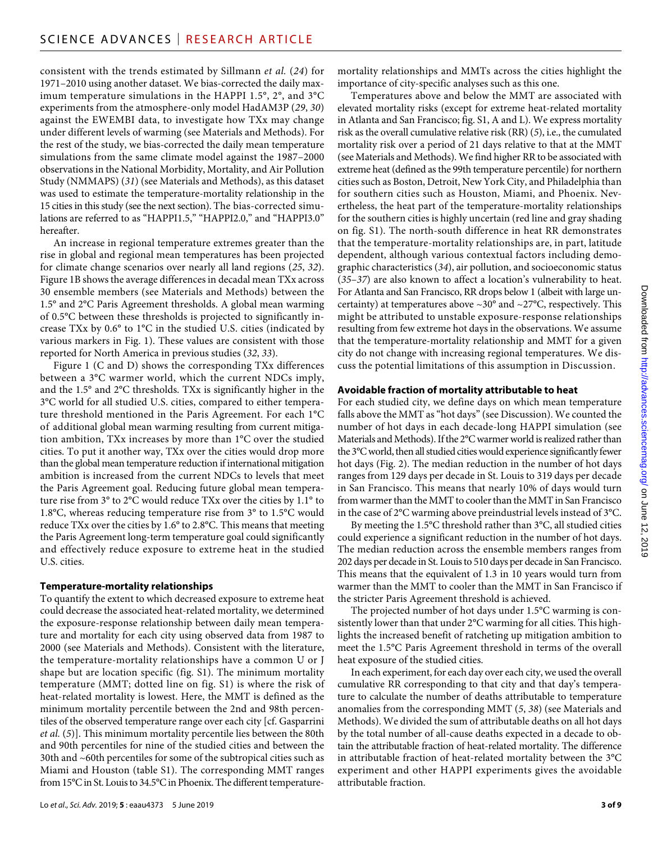consistent with the trends estimated by Sillmann *et al.* (*24*) for 1971–2010 using another dataset. We bias-corrected the daily maximum temperature simulations in the HAPPI 1.5°, 2°, and 3°C experiments from the atmosphere-only model HadAM3P (*29*, *30*) against the EWEMBI data, to investigate how TXx may change under different levels of warming (see Materials and Methods). For the rest of the study, we bias-corrected the daily mean temperature simulations from the same climate model against the 1987–2000 observations in the National Morbidity, Mortality, and Air Pollution Study (NMMAPS) (*31*) (see Materials and Methods), as this dataset was used to estimate the temperature-mortality relationship in the 15 cities in this study (see the next section). The bias-corrected simulations are referred to as "HAPPI1.5," "HAPPI2.0," and "HAPPI3.0" hereafter.

An increase in regional temperature extremes greater than the rise in global and regional mean temperatures has been projected for climate change scenarios over nearly all land regions (*25*, *32*). Figure 1B shows the average differences in decadal mean TXx across 30 ensemble members (see Materials and Methods) between the 1.5° and 2°C Paris Agreement thresholds. A global mean warming of 0.5°C between these thresholds is projected to significantly increase TXx by 0.6° to 1°C in the studied U.S. cities (indicated by various markers in Fig. 1). These values are consistent with those reported for North America in previous studies (*32*, *33*).

Figure 1 (C and D) shows the corresponding TXx differences between a 3°C warmer world, which the current NDCs imply, and the 1.5° and 2°C thresholds. TXx is significantly higher in the 3°C world for all studied U.S. cities, compared to either temperature threshold mentioned in the Paris Agreement. For each 1°C of additional global mean warming resulting from current mitigation ambition, TXx increases by more than 1°C over the studied cities. To put it another way, TXx over the cities would drop more than the global mean temperature reduction if international mitigation ambition is increased from the current NDCs to levels that meet the Paris Agreement goal. Reducing future global mean temperature rise from 3° to 2°C would reduce TXx over the cities by 1.1° to 1.8°C, whereas reducing temperature rise from 3° to 1.5°C would reduce TXx over the cities by 1.6° to 2.8°C. This means that meeting the Paris Agreement long-term temperature goal could significantly and effectively reduce exposure to extreme heat in the studied U.S. cities.

#### **Temperature-mortality relationships**

To quantify the extent to which decreased exposure to extreme heat could decrease the associated heat-related mortality, we determined the exposure-response relationship between daily mean temperature and mortality for each city using observed data from 1987 to 2000 (see Materials and Methods). Consistent with the literature, the temperature-mortality relationships have a common U or J shape but are location specific (fig. S1). The minimum mortality temperature (MMT; dotted line on fig. S1) is where the risk of heat-related mortality is lowest. Here, the MMT is defined as the minimum mortality percentile between the 2nd and 98th percentiles of the observed temperature range over each city [cf. Gasparrini *et al.* (*5*)]. This minimum mortality percentile lies between the 80th and 90th percentiles for nine of the studied cities and between the 30th and ~60th percentiles for some of the subtropical cities such as Miami and Houston (table S1). The corresponding MMT ranges from 15°C in St. Louis to 34.5°C in Phoenix. The different temperaturemortality relationships and MMTs across the cities highlight the importance of city-specific analyses such as this one.

Temperatures above and below the MMT are associated with elevated mortality risks (except for extreme heat-related mortality in Atlanta and San Francisco; fig. S1, A and L). We express mortality risk as the overall cumulative relative risk (RR) (*5*), i.e., the cumulated mortality risk over a period of 21 days relative to that at the MMT (see Materials and Methods). We find higher RR to be associated with extreme heat (defined as the 99th temperature percentile) for northern cities such as Boston, Detroit, New York City, and Philadelphia than for southern cities such as Houston, Miami, and Phoenix. Nevertheless, the heat part of the temperature-mortality relationships for the southern cities is highly uncertain (red line and gray shading on fig. S1). The north-south difference in heat RR demonstrates that the temperature-mortality relationships are, in part, latitude dependent, although various contextual factors including demographic characteristics (*34*), air pollution, and socioeconomic status (*35*–*37*) are also known to affect a location's vulnerability to heat. For Atlanta and San Francisco, RR drops below 1 (albeit with large uncertainty) at temperatures above  $\sim$ 30° and  $\sim$ 27°C, respectively. This might be attributed to unstable exposure-response relationships resulting from few extreme hot days in the observations. We assume that the temperature-mortality relationship and MMT for a given city do not change with increasing regional temperatures. We discuss the potential limitations of this assumption in Discussion.

## **Avoidable fraction of mortality attributable to heat**

For each studied city, we define days on which mean temperature falls above the MMT as "hot days" (see Discussion). We counted the number of hot days in each decade-long HAPPI simulation (see Materials and Methods). If the 2°C warmer world is realized rather than the 3°C world, then all studied cities would experience significantly fewer hot days (Fig. 2). The median reduction in the number of hot days ranges from 129 days per decade in St. Louis to 319 days per decade in San Francisco. This means that nearly 10% of days would turn from warmer than the MMT to cooler than the MMT in San Francisco in the case of 2°C warming above preindustrial levels instead of 3°C.

By meeting the 1.5°C threshold rather than 3°C, all studied cities could experience a significant reduction in the number of hot days. The median reduction across the ensemble members ranges from 202 days per decade in St. Louis to 510 days per decade in San Francisco. This means that the equivalent of 1.3 in 10 years would turn from warmer than the MMT to cooler than the MMT in San Francisco if the stricter Paris Agreement threshold is achieved.

The projected number of hot days under 1.5°C warming is consistently lower than that under 2°C warming for all cities. This highlights the increased benefit of ratcheting up mitigation ambition to meet the 1.5°C Paris Agreement threshold in terms of the overall heat exposure of the studied cities.

In each experiment, for each day over each city, we used the overall cumulative RR corresponding to that city and that day's temperature to calculate the number of deaths attributable to temperature anomalies from the corresponding MMT (*5*, *38*) (see Materials and Methods). We divided the sum of attributable deaths on all hot days by the total number of all-cause deaths expected in a decade to obtain the attributable fraction of heat-related mortality. The difference in attributable fraction of heat-related mortality between the 3°C experiment and other HAPPI experiments gives the avoidable attributable fraction.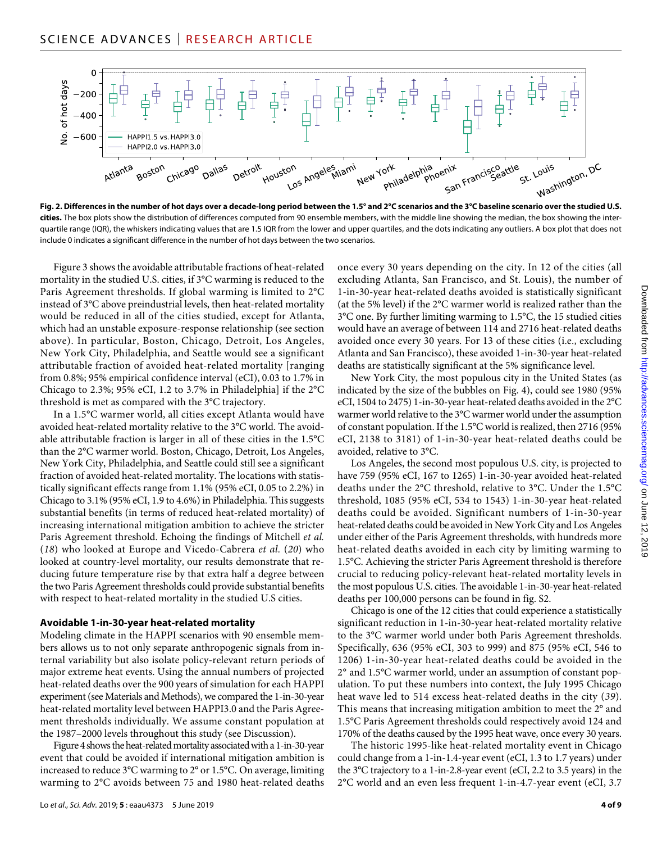

**Fig. 2. Differences in the number of hot days over a decade-long period between the 1.5° and 2°C scenarios and the 3°C baseline scenario over the studied U.S. cities.** The box plots show the distribution of differences computed from 90 ensemble members, with the middle line showing the median, the box showing the interquartile range (IQR), the whiskers indicating values that are 1.5 IQR from the lower and upper quartiles, and the dots indicating any outliers. A box plot that does not include 0 indicates a significant difference in the number of hot days between the two scenarios.

Figure 3 shows the avoidable attributable fractions of heat-related mortality in the studied U.S. cities, if 3°C warming is reduced to the Paris Agreement thresholds. If global warming is limited to 2°C instead of 3°C above preindustrial levels, then heat-related mortality would be reduced in all of the cities studied, except for Atlanta, which had an unstable exposure-response relationship (see section above). In particular, Boston, Chicago, Detroit, Los Angeles, New York City, Philadelphia, and Seattle would see a significant attributable fraction of avoided heat-related mortality [ranging from 0.8%; 95% empirical confidence interval (eCI), 0.03 to 1.7% in Chicago to 2.3%; 95% eCI, 1.2 to 3.7% in Philadelphia] if the 2°C threshold is met as compared with the 3°C trajectory.

In a 1.5°C warmer world, all cities except Atlanta would have avoided heat-related mortality relative to the 3°C world. The avoidable attributable fraction is larger in all of these cities in the 1.5°C than the 2°C warmer world. Boston, Chicago, Detroit, Los Angeles, New York City, Philadelphia, and Seattle could still see a significant fraction of avoided heat-related mortality. The locations with statistically significant effects range from 1.1% (95% eCI, 0.05 to 2.2%) in Chicago to 3.1% (95% eCI, 1.9 to 4.6%) in Philadelphia. This suggests substantial benefits (in terms of reduced heat-related mortality) of increasing international mitigation ambition to achieve the stricter Paris Agreement threshold. Echoing the findings of Mitchell *et al.* (*18*) who looked at Europe and Vicedo-Cabrera *et al.* (*20*) who looked at country-level mortality, our results demonstrate that reducing future temperature rise by that extra half a degree between the two Paris Agreement thresholds could provide substantial benefits with respect to heat-related mortality in the studied U.S cities.

#### **Avoidable 1-in-30-year heat-related mortality**

Modeling climate in the HAPPI scenarios with 90 ensemble members allows us to not only separate anthropogenic signals from internal variability but also isolate policy-relevant return periods of major extreme heat events. Using the annual numbers of projected heat-related deaths over the 900 years of simulation for each HAPPI experiment (see Materials and Methods), we compared the 1-in-30-year heat-related mortality level between HAPPI3.0 and the Paris Agreement thresholds individually. We assume constant population at the 1987–2000 levels throughout this study (see Discussion).

Figure 4 shows the heat-related mortality associated with a 1-in-30-year event that could be avoided if international mitigation ambition is increased to reduce 3°C warming to 2° or 1.5°C. On average, limiting warming to 2°C avoids between 75 and 1980 heat-related deaths once every 30 years depending on the city. In 12 of the cities (all excluding Atlanta, San Francisco, and St. Louis), the number of 1-in-30-year heat-related deaths avoided is statistically significant (at the 5% level) if the 2°C warmer world is realized rather than the 3°C one. By further limiting warming to 1.5°C, the 15 studied cities would have an average of between 114 and 2716 heat-related deaths avoided once every 30 years. For 13 of these cities (i.e., excluding Atlanta and San Francisco), these avoided 1-in-30-year heat-related deaths are statistically significant at the 5% significance level.

New York City, the most populous city in the United States (as indicated by the size of the bubbles on Fig. 4), could see 1980 (95% eCI, 1504 to 2475) 1-in-30-year heat-related deaths avoided in the 2°C warmer world relative to the 3°C warmer world under the assumption of constant population. If the 1.5°C world is realized, then 2716 (95% eCI, 2138 to 3181) of 1-in-30-year heat-related deaths could be avoided, relative to 3°C.

Los Angeles, the second most populous U.S. city, is projected to have 759 (95% eCI, 167 to 1265) 1-in-30-year avoided heat-related deaths under the 2°C threshold, relative to 3°C. Under the 1.5°C threshold, 1085 (95% eCI, 534 to 1543) 1-in-30-year heat-related deaths could be avoided. Significant numbers of 1-in-30-year heat-related deaths could be avoided in New York City and Los Angeles under either of the Paris Agreement thresholds, with hundreds more heat-related deaths avoided in each city by limiting warming to 1.5°C. Achieving the stricter Paris Agreement threshold is therefore crucial to reducing policy-relevant heat-related mortality levels in the most populous U.S. cities. The avoidable 1-in-30-year heat-related deaths per 100,000 persons can be found in fig. S2.

Chicago is one of the 12 cities that could experience a statistically significant reduction in 1-in-30-year heat-related mortality relative to the 3°C warmer world under both Paris Agreement thresholds. Specifically, 636 (95% eCI, 303 to 999) and 875 (95% eCI, 546 to 1206) 1-in-30-year heat-related deaths could be avoided in the 2° and 1.5°C warmer world, under an assumption of constant population. To put these numbers into context, the July 1995 Chicago heat wave led to 514 excess heat-related deaths in the city (*39*). This means that increasing mitigation ambition to meet the 2° and 1.5°C Paris Agreement thresholds could respectively avoid 124 and 170% of the deaths caused by the 1995 heat wave, once every 30 years.

The historic 1995-like heat-related mortality event in Chicago could change from a 1-in-1.4-year event (eCI, 1.3 to 1.7 years) under the 3°C trajectory to a 1-in-2.8-year event (eCI, 2.2 to 3.5 years) in the 2°C world and an even less frequent 1-in-4.7-year event (eCI, 3.7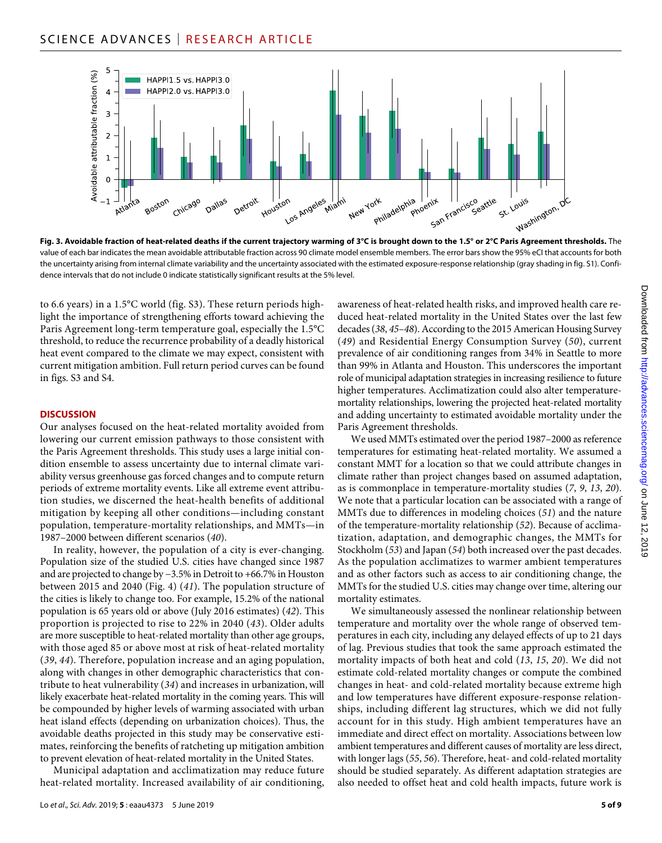

**Fig. 3. Avoidable fraction of heat-related deaths if the current trajectory warming of 3°C is brought down to the 1.5° or 2°C Paris Agreement thresholds.** The value of each bar indicates the mean avoidable attributable fraction across 90 climate model ensemble members. The error bars show the 95% eCI that accounts for both the uncertainty arising from internal climate variability and the uncertainty associated with the estimated exposure-response relationship (gray shading in fig. S1). Confidence intervals that do not include 0 indicate statistically significant results at the 5% level.

to 6.6 years) in a 1.5°C world (fig. S3). These return periods highlight the importance of strengthening efforts toward achieving the Paris Agreement long-term temperature goal, especially the 1.5°C threshold, to reduce the recurrence probability of a deadly historical heat event compared to the climate we may expect, consistent with current mitigation ambition. Full return period curves can be found in figs. S3 and S4.

#### **DISCUSSION**

Our analyses focused on the heat-related mortality avoided from lowering our current emission pathways to those consistent with the Paris Agreement thresholds. This study uses a large initial condition ensemble to assess uncertainty due to internal climate variability versus greenhouse gas forced changes and to compute return periods of extreme mortality events. Like all extreme event attribution studies, we discerned the heat-health benefits of additional mitigation by keeping all other conditions—including constant population, temperature-mortality relationships, and MMTs—in 1987–2000 between different scenarios (*40*).

In reality, however, the population of a city is ever-changing. Population size of the studied U.S. cities have changed since 1987 and are projected to change by −3.5% in Detroit to +66.7% in Houston between 2015 and 2040 (Fig. 4) (*41*). The population structure of the cities is likely to change too. For example, 15.2% of the national population is 65 years old or above (July 2016 estimates) (*42*). This proportion is projected to rise to 22% in 2040 (*43*). Older adults are more susceptible to heat-related mortality than other age groups, with those aged 85 or above most at risk of heat-related mortality (*39*, *44*). Therefore, population increase and an aging population, along with changes in other demographic characteristics that contribute to heat vulnerability (*34*) and increases in urbanization, will likely exacerbate heat-related mortality in the coming years. This will be compounded by higher levels of warming associated with urban heat island effects (depending on urbanization choices). Thus, the avoidable deaths projected in this study may be conservative estimates, reinforcing the benefits of ratcheting up mitigation ambition to prevent elevation of heat-related mortality in the United States.

Municipal adaptation and acclimatization may reduce future heat-related mortality. Increased availability of air conditioning, awareness of heat-related health risks, and improved health care reduced heat-related mortality in the United States over the last few decades (*38*, *45*–*48*). According to the 2015 American Housing Survey (*49*) and Residential Energy Consumption Survey (*50*), current prevalence of air conditioning ranges from 34% in Seattle to more than 99% in Atlanta and Houston. This underscores the important role of municipal adaptation strategies in increasing resilience to future higher temperatures. Acclimatization could also alter temperaturemortality relationships, lowering the projected heat-related mortality and adding uncertainty to estimated avoidable mortality under the Paris Agreement thresholds.

We used MMTs estimated over the period 1987–2000 as reference temperatures for estimating heat-related mortality. We assumed a constant MMT for a location so that we could attribute changes in climate rather than project changes based on assumed adaptation, as is commonplace in temperature-mortality studies (*7*, *9*, *13*, *20*). We note that a particular location can be associated with a range of MMTs due to differences in modeling choices (*51*) and the nature of the temperature-mortality relationship (*52*). Because of acclimatization, adaptation, and demographic changes, the MMTs for Stockholm (*53*) and Japan (*54*) both increased over the past decades. As the population acclimatizes to warmer ambient temperatures and as other factors such as access to air conditioning change, the MMTs for the studied U.S. cities may change over time, altering our mortality estimates.

We simultaneously assessed the nonlinear relationship between temperature and mortality over the whole range of observed temperatures in each city, including any delayed effects of up to 21 days of lag. Previous studies that took the same approach estimated the mortality impacts of both heat and cold (*13*, *15*, *20*). We did not estimate cold-related mortality changes or compute the combined changes in heat- and cold-related mortality because extreme high and low temperatures have different exposure-response relationships, including different lag structures, which we did not fully account for in this study. High ambient temperatures have an immediate and direct effect on mortality. Associations between low ambient temperatures and different causes of mortality are less direct, with longer lags (*55*, *56*). Therefore, heat- and cold-related mortality should be studied separately. As different adaptation strategies are also needed to offset heat and cold health impacts, future work is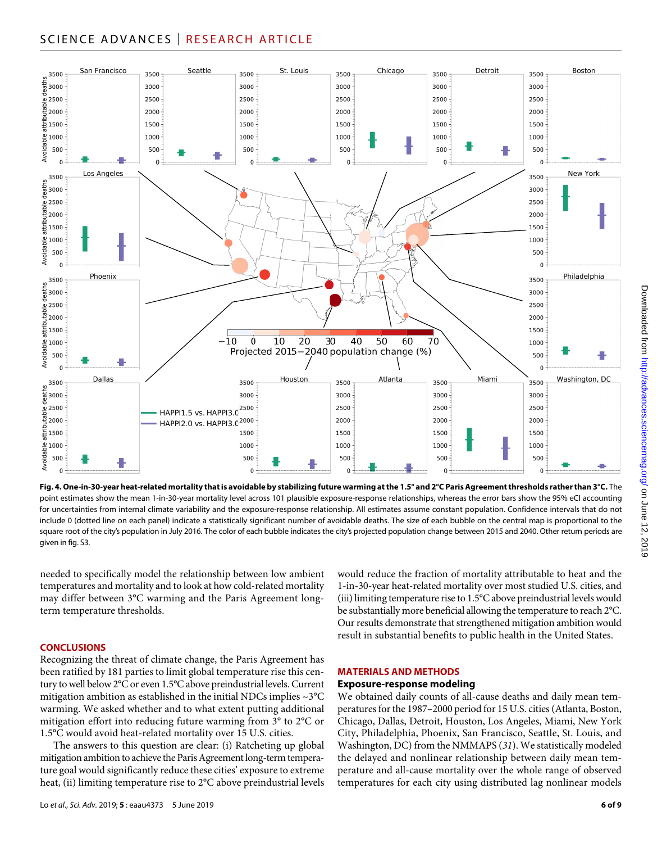# SCIENCE ADVANCES | RESEARCH ARTICLE



**Fig. 4. One-in-30-year heat-related mortality that is avoidable by stabilizing future warming at the 1.5° and 2°C Paris Agreement thresholds rather than 3°C.** The point estimates show the mean 1-in-30-year mortality level across 101 plausible exposure-response relationships, whereas the error bars show the 95% eCI accounting for uncertainties from internal climate variability and the exposure-response relationship. All estimates assume constant population. Confidence intervals that do not include 0 (dotted line on each panel) indicate a statistically significant number of avoidable deaths. The size of each bubble on the central map is proportional to the square root of the city's population in July 2016. The color of each bubble indicates the city's projected population change between 2015 and 2040. Other return periods are given in fig. S3.

needed to specifically model the relationship between low ambient temperatures and mortality and to look at how cold-related mortality may differ between 3°C warming and the Paris Agreement longterm temperature thresholds.

#### **CONCLUSIONS**

Recognizing the threat of climate change, the Paris Agreement has been ratified by 181 parties to limit global temperature rise this century to well below 2°C or even 1.5°C above preindustrial levels. Current mitigation ambition as established in the initial NDCs implies ~3°C warming. We asked whether and to what extent putting additional mitigation effort into reducing future warming from 3° to 2°C or 1.5°C would avoid heat-related mortality over 15 U.S. cities.

The answers to this question are clear: (i) Ratcheting up global mitigation ambition to achieve the Paris Agreement long-term temperature goal would significantly reduce these cities' exposure to extreme heat, (ii) limiting temperature rise to 2°C above preindustrial levels would reduce the fraction of mortality attributable to heat and the 1-in-30-year heat-related mortality over most studied U.S. cities, and (iii) limiting temperature rise to 1.5°C above preindustrial levels would be substantially more beneficial allowing the temperature to reach 2°C. Our results demonstrate that strengthened mitigation ambition would result in substantial benefits to public health in the United States.

#### **MATERIALS AND METHODS**

#### **Exposure-response modeling**

We obtained daily counts of all-cause deaths and daily mean temperatures for the 1987–2000 period for 15 U.S. cities (Atlanta, Boston, Chicago, Dallas, Detroit, Houston, Los Angeles, Miami, New York City, Philadelphia, Phoenix, San Francisco, Seattle, St. Louis, and Washington, DC) from the NMMAPS (*31*). We statistically modeled the delayed and nonlinear relationship between daily mean temperature and all-cause mortality over the whole range of observed temperatures for each city using distributed lag nonlinear models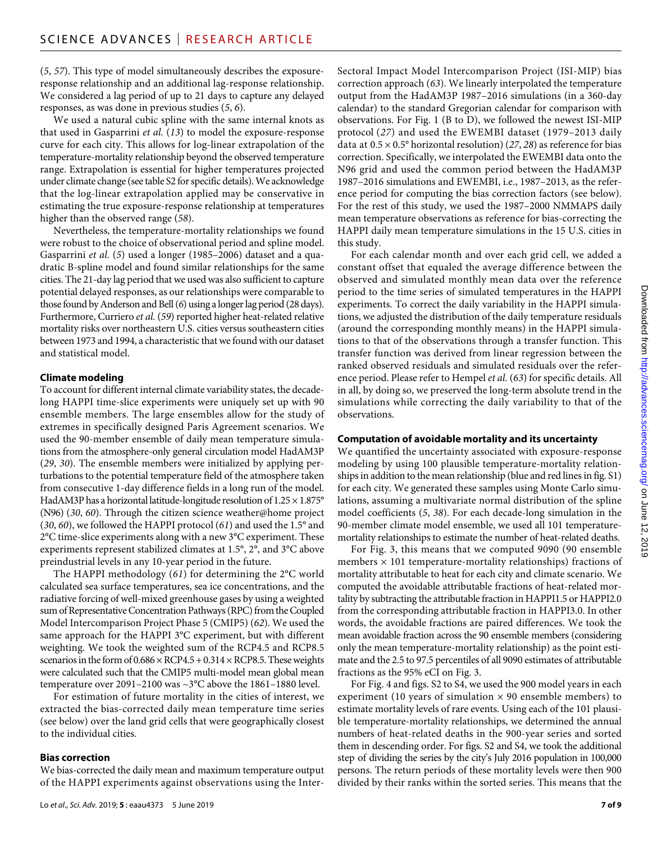(*5*, *57*). This type of model simultaneously describes the exposureresponse relationship and an additional lag-response relationship. We considered a lag period of up to 21 days to capture any delayed responses, as was done in previous studies (*5*, *6*).

We used a natural cubic spline with the same internal knots as that used in Gasparrini *et al.* (*13*) to model the exposure-response curve for each city. This allows for log-linear extrapolation of the temperature-mortality relationship beyond the observed temperature range. Extrapolation is essential for higher temperatures projected under climate change (see table S2 for specific details). We acknowledge that the log-linear extrapolation applied may be conservative in estimating the true exposure-response relationship at temperatures higher than the observed range (*58*).

Nevertheless, the temperature-mortality relationships we found were robust to the choice of observational period and spline model. Gasparrini *et al.* (*5*) used a longer (1985–2006) dataset and a quadratic B-spline model and found similar relationships for the same cities. The 21-day lag period that we used was also sufficient to capture potential delayed responses, as our relationships were comparable to those found by Anderson and Bell (*6*) using a longer lag period (28 days). Furthermore, Curriero *et al.* (*59*) reported higher heat-related relative mortality risks over northeastern U.S. cities versus southeastern cities between 1973 and 1994, a characteristic that we found with our dataset and statistical model.

#### **Climate modeling**

To account for different internal climate variability states, the decadelong HAPPI time-slice experiments were uniquely set up with 90 ensemble members. The large ensembles allow for the study of extremes in specifically designed Paris Agreement scenarios. We used the 90-member ensemble of daily mean temperature simulations from the atmosphere-only general circulation model HadAM3P (*29*, *30*). The ensemble members were initialized by applying perturbations to the potential temperature field of the atmosphere taken from consecutive 1-day difference fields in a long run of the model. HadAM3P has a horizontal latitude-longitude resolution of  $1.25 \times 1.875$ ° (N96) (*30*, *60*). Through the citizen science weather@home project (*30*, *60*), we followed the HAPPI protocol (*61*) and used the 1.5° and 2°C time-slice experiments along with a new 3°C experiment. These experiments represent stabilized climates at 1.5°, 2°, and 3°C above preindustrial levels in any 10-year period in the future.

The HAPPI methodology (*61*) for determining the 2°C world calculated sea surface temperatures, sea ice concentrations, and the radiative forcing of well-mixed greenhouse gases by using a weighted sum of Representative Concentration Pathways (RPC) from the Coupled Model Intercomparison Project Phase 5 (CMIP5) (*62*). We used the same approach for the HAPPI 3°C experiment, but with different weighting. We took the weighted sum of the RCP4.5 and RCP8.5 scenarios in the form of  $0.686 \times \text{RCP4.5} + 0.314 \times \text{RCP8.5}$ . These weights were calculated such that the CMIP5 multi-model mean global mean temperature over 2091–2100 was ~3°C above the 1861–1880 level.

For estimation of future mortality in the cities of interest, we extracted the bias-corrected daily mean temperature time series (see below) over the land grid cells that were geographically closest to the individual cities.

#### **Bias correction**

We bias-corrected the daily mean and maximum temperature output of the HAPPI experiments against observations using the Inter-

Sectoral Impact Model Intercomparison Project (ISI-MIP) bias correction approach (*63*). We linearly interpolated the temperature output from the HadAM3P 1987–2016 simulations (in a 360-day calendar) to the standard Gregorian calendar for comparison with observations. For Fig. 1 (B to D), we followed the newest ISI-MIP protocol (*27*) and used the EWEMBI dataset (1979–2013 daily data at 0.5 × 0.5° horizontal resolution) (*27*, *28*) as reference for bias correction. Specifically, we interpolated the EWEMBI data onto the N96 grid and used the common period between the HadAM3P 1987–2016 simulations and EWEMBI, i.e., 1987–2013, as the reference period for computing the bias correction factors (see below). For the rest of this study, we used the 1987–2000 NMMAPS daily mean temperature observations as reference for bias-correcting the HAPPI daily mean temperature simulations in the 15 U.S. cities in this study.

For each calendar month and over each grid cell, we added a constant offset that equaled the average difference between the observed and simulated monthly mean data over the reference period to the time series of simulated temperatures in the HAPPI experiments. To correct the daily variability in the HAPPI simulations, we adjusted the distribution of the daily temperature residuals (around the corresponding monthly means) in the HAPPI simulations to that of the observations through a transfer function. This transfer function was derived from linear regression between the ranked observed residuals and simulated residuals over the reference period. Please refer to Hempel *et al.* (*63*) for specific details. All in all, by doing so, we preserved the long-term absolute trend in the simulations while correcting the daily variability to that of the observations.

#### **Computation of avoidable mortality and its uncertainty**

We quantified the uncertainty associated with exposure-response modeling by using 100 plausible temperature-mortality relationships in addition to the mean relationship (blue and red lines in fig. S1) for each city. We generated these samples using Monte Carlo simulations, assuming a multivariate normal distribution of the spline model coefficients (*5*, *38*). For each decade-long simulation in the 90-member climate model ensemble, we used all 101 temperaturemortality relationships to estimate the number of heat-related deaths.

For Fig. 3, this means that we computed 9090 (90 ensemble members  $\times$  101 temperature-mortality relationships) fractions of mortality attributable to heat for each city and climate scenario. We computed the avoidable attributable fractions of heat-related mortality by subtracting the attributable fraction in HAPPI1.5 or HAPPI2.0 from the corresponding attributable fraction in HAPPI3.0. In other words, the avoidable fractions are paired differences. We took the mean avoidable fraction across the 90 ensemble members (considering only the mean temperature-mortality relationship) as the point estimate and the 2.5 to 97.5 percentiles of all 9090 estimates of attributable fractions as the 95% eCI on Fig. 3.

For Fig. 4 and figs. S2 to S4, we used the 900 model years in each experiment (10 years of simulation  $\times$  90 ensemble members) to estimate mortality levels of rare events. Using each of the 101 plausible temperature-mortality relationships, we determined the annual numbers of heat-related deaths in the 900-year series and sorted them in descending order. For figs. S2 and S4, we took the additional step of dividing the series by the city's July 2016 population in 100,000 persons. The return periods of these mortality levels were then 900 divided by their ranks within the sorted series. This means that the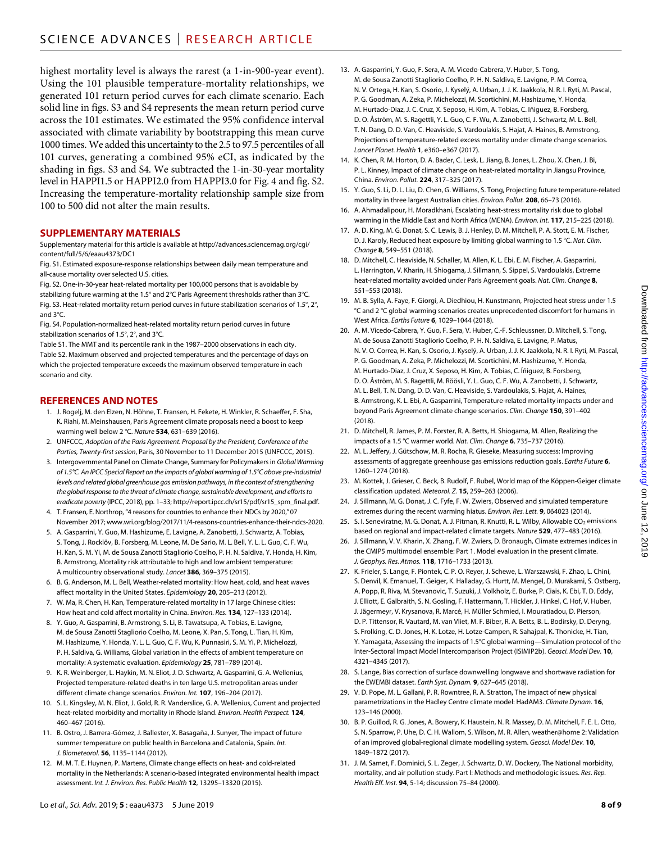highest mortality level is always the rarest (a 1-in-900-year event). Using the 101 plausible temperature-mortality relationships, we generated 101 return period curves for each climate scenario. Each solid line in figs. S3 and S4 represents the mean return period curve across the 101 estimates. We estimated the 95% confidence interval associated with climate variability by bootstrapping this mean curve 1000 times. We added this uncertainty to the 2.5 to 97.5 percentiles of all 101 curves, generating a combined 95% eCI, as indicated by the shading in figs. S3 and S4. We subtracted the 1-in-30-year mortality level in HAPPI1.5 or HAPPI2.0 from HAPPI3.0 for Fig. 4 and fig. S2. Increasing the temperature-mortality relationship sample size from 100 to 500 did not alter the main results.

#### **SUPPLEMENTARY MATERIALS**

Supplementary material for this article is available at [http://advances.sciencemag.org/cgi/](http://advances.sciencemag.org/cgi/content/full/5/6/eaau4373/DC1) [content/full/5/6/eaau4373/DC1](http://advances.sciencemag.org/cgi/content/full/5/6/eaau4373/DC1)

Fig. S1. Estimated exposure-response relationships between daily mean temperature and all-cause mortality over selected U.S. cities.

Fig. S2. One-in-30-year heat-related mortality per 100,000 persons that is avoidable by stabilizing future warming at the 1.5° and 2°C Paris Agreement thresholds rather than 3°C. Fig. S3. Heat-related mortality return period curves in future stabilization scenarios of 1.5°, 2°, and 3°C.

Fig. S4. Population-normalized heat-related mortality return period curves in future stabilization scenarios of 1.5°, 2°, and 3°C.

Table S1. The MMT and its percentile rank in the 1987–2000 observations in each city. Table S2. Maximum observed and projected temperatures and the percentage of days on which the projected temperature exceeds the maximum observed temperature in each scenario and city.

## **REFERENCES AND NOTES**

- 1. J. Rogelj, M. den Elzen, N. Höhne, T. Fransen, H. Fekete, H. Winkler, R. Schaeffer, F. Sha, K. Riahi, M. Meinshausen, Paris Agreement climate proposals need a boost to keep warming well below 2 °C. *Nature* **534**, 631–639 (2016).
- 2. UNFCCC, *Adoption of the Paris Agreement. Proposal by the President, Conference of the Parties, Twenty-first session*, Paris, 30 November to 11 December 2015 (UNFCCC, 2015).
- 3. Intergovernmental Panel on Climate Change, Summary for Policymakers in *Global Warming of 1.5°C. An IPCC Special Report on the impacts of global warming of 1.5°C above pre-industrial* levels and related global greenhouse gas emission pathways, in the context of strengthening *the global response to the threat of climate change, sustainable development, and efforts to eradicate poverty* (IPCC, 2018), pp. 1–33; [http://report.ipcc.ch/sr15/pdf/sr15\\_spm\\_final.pdf](http://report.ipcc.ch/sr15/pdf/sr15_spm:final.pdf).
- 4. T. Fransen, E. Northrop, "4 reasons for countries to enhance their NDCs by 2020," 07 November 2017; [www.wri.org/blog/2017/11/4-reasons-countries-enhance-their-ndcs-2020](http://www.wri.org/blog/2017/11/4-reasons-countries-enhance-their-ndcs-2020).
- 5. A. Gasparrini, Y. Guo, M. Hashizume, E. Lavigne, A. Zanobetti, J. Schwartz, A. Tobias, S. Tong, J. Rocklöv, B. Forsberg, M. Leone, M. De Sario, M. L. Bell, Y. L. L. Guo, C. F. Wu, H. Kan, S. M. Yi, M. de Sousa Zanotti Stagliorio Coelho, P. H. N. Saldiva, Y. Honda, H. Kim, B. Armstrong, Mortality risk attributable to high and low ambient temperature: A multicountry observational study. *Lancet* **386**, 369–375 (2015).
- 6. B. G. Anderson, M. L. Bell, Weather-related mortality: How heat, cold, and heat waves affect mortality in the United States. *Epidemiology* **20**, 205–213 (2012).
- 7. W. Ma, R. Chen, H. Kan, Temperature-related mortality in 17 large Chinese cities: How heat and cold affect mortality in China. *Environ. Res.* **134**, 127–133 (2014).
- 8. Y. Guo, A. Gasparrini, B. Armstrong, S. Li, B. Tawatsupa, A. Tobias, E. Lavigne, M. de Sousa Zanotti Stagliorio Coelho, M. Leone, X. Pan, S. Tong, L. Tian, H. Kim, M. Hashizume, Y. Honda, Y. L. L. Guo, C. F. Wu, K. Punnasiri, S. M. Yi, P. Michelozzi, P. H. Saldiva, G. Williams, Global variation in the effects of ambient temperature on mortality: A systematic evaluation. *Epidemiology* **25**, 781–789 (2014).
- 9. K. R. Weinberger, L. Haykin, M. N. Eliot, J. D. Schwartz, A. Gasparrini, G. A. Wellenius, Projected temperature-related deaths in ten large U.S. metropolitan areas under different climate change scenarios. *Environ. Int.* **107**, 196–204 (2017).
- 10. S. L. Kingsley, M. N. Eliot, J. Gold, R. R. Vanderslice, G. A. Wellenius, Current and projected heat-related morbidity and mortality in Rhode Island. *Environ. Health Perspect.* **124**, 460–467 (2016).
- 11. B. Ostro, J. Barrera-Gómez, J. Ballester, X. Basagaña, J. Sunyer, The impact of future summer temperature on public health in Barcelona and Catalonia, Spain. *Int. J. Biometeorol.* **56**, 1135–1144 (2012).
- 12. M. M. T. E. Huynen, P. Martens, Climate change effects on heat- and cold-related mortality in the Netherlands: A scenario-based integrated environmental health impact assessment. *Int. J. Environ. Res. Public Health* **12**, 13295–13320 (2015).
- 13. A. Gasparrini, Y. Guo, F. Sera, A. M. Vicedo-Cabrera, V. Huber, S. Tong, M. de Sousa Zanotti Stagliorio Coelho, P. H. N. Saldiva, E. Lavigne, P. M. Correa, N. V. Ortega, H. Kan, S. Osorio, J. Kyselý, A. Urban, J. J. K. Jaakkola, N. R. I. Ryti, M. Pascal, P. G. Goodman, A. Zeka, P. Michelozzi, M. Scortichini, M. Hashizume, Y. Honda, M. Hurtado-Diaz, J. C. Cruz, X. Seposo, H. Kim, A. Tobias, C. Iñiguez, B. Forsberg, D. O. Åström, M. S. Ragettli, Y. L. Guo, C. F. Wu, A. Zanobetti, J. Schwartz, M. L. Bell, T. N. Dang, D. D. Van, C. Heaviside, S. Vardoulakis, S. Hajat, A. Haines, B. Armstrong, Projections of temperature-related excess mortality under climate change scenarios. *Lancet Planet. Health* **1**, e360–e367 (2017).
- 14. K. Chen, R. M. Horton, D. A. Bader, C. Lesk, L. Jiang, B. Jones, L. Zhou, X. Chen, J. Bi, P. L. Kinney, Impact of climate change on heat-related mortality in Jiangsu Province, China. *Environ. Pollut.* **224**, 317–325 (2017).
- 15. Y. Guo, S. Li, D. L. Liu, D. Chen, G. Williams, S. Tong, Projecting future temperature-related mortality in three largest Australian cities. *Environ. Pollut.* **208**, 66–73 (2016).
- 16. A. Ahmadalipour, H. Moradkhani, Escalating heat-stress mortality risk due to global warming in the Middle East and North Africa (MENA). *Environ. Int.* **117**, 215–225 (2018).
- 17. A. D. King, M. G. Donat, S. C. Lewis, B. J. Henley, D. M. Mitchell, P. A. Stott, E. M. Fischer, D. J. Karoly, Reduced heat exposure by limiting global warming to 1.5 °C. *Nat. Clim. Change* **8**, 549–551 (2018).
- 18. D. Mitchell, C. Heaviside, N. Schaller, M. Allen, K. L. Ebi, E. M. Fischer, A. Gasparrini, L. Harrington, V. Kharin, H. Shiogama, J. Sillmann, S. Sippel, S. Vardoulakis, Extreme heat-related mortality avoided under Paris Agreement goals. *Nat. Clim. Change* **8**, 551–553 (2018).
- 19. M. B. Sylla, A. Faye, F. Giorgi, A. Diedhiou, H. Kunstmann, Projected heat stress under 1.5 °C and 2 °C global warming scenarios creates unprecedented discomfort for humans in West Africa. *Earths Future* **6**, 1029–1044 (2018).
- 20. A. M. Vicedo-Cabrera, Y. Guo, F. Sera, V. Huber, C.-F. Schleussner, D. Mitchell, S. Tong, M. de Sousa Zanotti Stagliorio Coelho, P. H. N. Saldiva, E. Lavigne, P. Matus, N. V. O. Correa, H. Kan, S. Osorio, J. Kyselý, A. Urban, J. J. K. Jaakkola, N. R. I. Ryti, M. Pascal, P. G. Goodman, A. Zeka, P. Michelozzi, M. Scortichini, M. Hashizume, Y. Honda, M. Hurtado-Diaz, J. Cruz, X. Seposo, H. Kim, A. Tobias, C. Íñiguez, B. Forsberg, D. O. Åström, M. S. Ragettli, M. Röösli, Y. L. Guo, C. F. Wu, A. Zanobetti, J. Schwartz, M. L. Bell, T. N. Dang, D. D. Van, C. Heaviside, S. Vardoulakis, S. Hajat, A. Haines, B. Armstrong, K. L. Ebi, A. Gasparrini, Temperature-related mortality impacts under and beyond Paris Agreement climate change scenarios. *Clim. Change* **150**, 391–402 (2018).
- 21. D. Mitchell, R. James, P. M. Forster, R. A. Betts, H. Shiogama, M. Allen, Realizing the impacts of a 1.5 °C warmer world. *Nat. Clim. Change* **6**, 735–737 (2016).
- 22. M. L. Jeffery, J. Gütschow, M. R. Rocha, R. Gieseke, Measuring success: Improving assessments of aggregate greenhouse gas emissions reduction goals. *Earths Future* **6**, 1260–1274 (2018).
- 23. M. Kottek, J. Grieser, C. Beck, B. Rudolf, F. Rubel, World map of the Köppen-Geiger climate classification updated. *Meteorol. Z.* **15**, 259–263 (2006).
- 24. J. Sillmann, M. G. Donat, J. C. Fyfe, F. W. Zwiers, Observed and simulated temperature extremes during the recent warming hiatus. *Environ. Res. Lett.* **9**, 064023 (2014).
- 25. S. I. Seneviratne, M. G. Donat, A. J. Pitman, R. Knutti, R. L. Wilby, Allowable CO<sub>2</sub> emissions based on regional and impact-related climate targets. *Nature* **529**, 477–483 (2016).
- 26. J. Sillmann, V. V. Kharin, X. Zhang, F. W. Zwiers, D. Bronaugh, Climate extremes indices in the CMIP5 multimodel ensemble: Part 1. Model evaluation in the present climate. *J. Geophys. Res. Atmos.* **118**, 1716–1733 (2013).
- 27. K. Frieler, S. Lange, F. Piontek, C. P. O. Reyer, J. Schewe, L. Warszawski, F. Zhao, L. Chini, S. Denvil, K. Emanuel, T. Geiger, K. Halladay, G. Hurtt, M. Mengel, D. Murakami, S. Ostberg, A. Popp, R. Riva, M. Stevanovic, T. Suzuki, J. Volkholz, E. Burke, P. Ciais, K. Ebi, T. D. Eddy, J. Elliott, E. Galbraith, S. N. Gosling, F. Hattermann, T. Hickler, J. Hinkel, C. Hof, V. Huber, J. Jägermeyr, V. Krysanova, R. Marcé, H. Müller Schmied, I. Mouratiadou, D. Pierson, D. P. Tittensor, R. Vautard, M. van Vliet, M. F. Biber, R. A. Betts, B. L. Bodirsky, D. Deryng, S. Frolking, C. D. Jones, H. K. Lotze, H. Lotze-Campen, R. Sahajpal, K. Thonicke, H. Tian, Y. Yamagata, Assessing the impacts of 1.5°C global warming—Simulation protocol of the Inter-Sectoral Impact Model Intercomparison Project (ISIMIP2b). *Geosci. Model Dev.* **10**, 4321–4345 (2017).
- 28. S. Lange, Bias correction of surface downwelling longwave and shortwave radiation for the EWEMBI dataset. *Earth Syst. Dynam.* **9**, 627–645 (2018).
- 29. V. D. Pope, M. L. Gallani, P. R. Rowntree, R. A. Stratton, The impact of new physical parametrizations in the Hadley Centre climate model: HadAM3. *Climate Dynam.* **16**, 123–146 (2000).
- 30. B. P. Guillod, R. G. Jones, A. Bowery, K. Haustein, N. R. Massey, D. M. Mitchell, F. E. L. Otto, S. N. Sparrow, P. Uhe, D. C. H. Wallom, S. Wilson, M. R. Allen, weather@home 2: Validation of an improved global-regional climate modelling system. *Geosci. Model Dev.* **10**, 1849–1872 (2017).
- 31. J. M. Samet, F. Dominici, S. L. Zeger, J. Schwartz, D. W. Dockery, The National morbidity, mortality, and air pollution study. Part I: Methods and methodologic issues. *Res. Rep. Health Eff. Inst.* **94**, 5-14; discussion 75–84 (2000).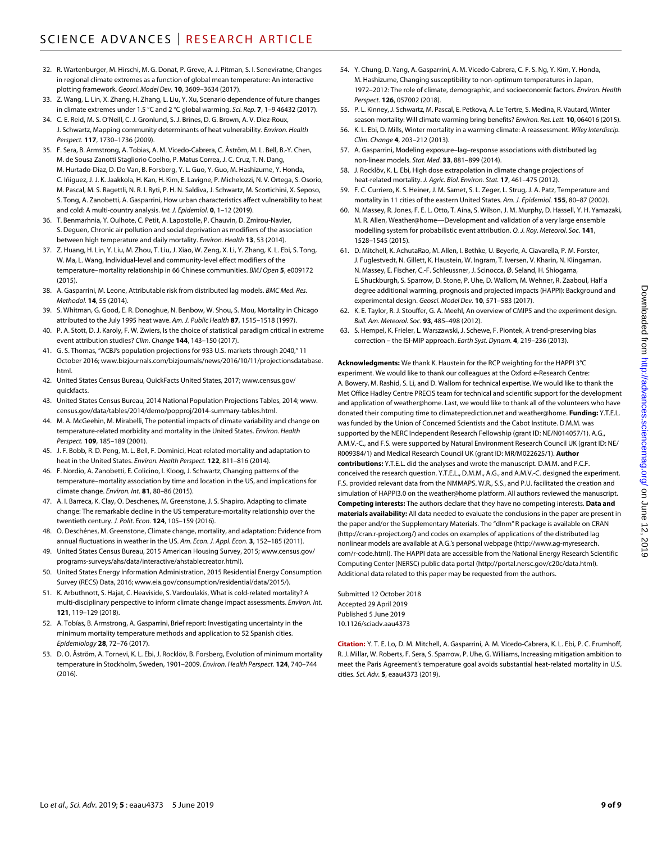- 32. R. Wartenburger, M. Hirschi, M. G. Donat, P. Greve, A. J. Pitman, S. I. Seneviratne, Changes in regional climate extremes as a function of global mean temperature: An interactive plotting framework. *Geosci. Model Dev.* **10**, 3609–3634 (2017).
- 33. Z. Wang, L. Lin, X. Zhang, H. Zhang, L. Liu, Y. Xu, Scenario dependence of future changes in climate extremes under 1.5 °C and 2 °C global warming. *Sci. Rep.* **7**, 1–9 46432 (2017).
- 34. C. E. Reid, M. S. O'Neill, C. J. Gronlund, S. J. Brines, D. G. Brown, A. V. Diez-Roux, J. Schwartz, Mapping community determinants of heat vulnerability. *Environ. Health Perspect.* **117**, 1730–1736 (2009).
- 35. F. Sera, B. Armstrong, A. Tobias, A. M. Vicedo-Cabrera, C. Åström, M. L. Bell, B.-Y. Chen, M. de Sousa Zanotti Stagliorio Coelho, P. Matus Correa, J. C. Cruz, T. N. Dang, M. Hurtado-Diaz, D. Do Van, B. Forsberg, Y. L. Guo, Y. Guo, M. Hashizume, Y. Honda, C. Iñiguez, J. J. K. Jaakkola, H. Kan, H. Kim, E. Lavigne, P. Michelozzi, N. V. Ortega, S. Osorio, M. Pascal, M. S. Ragettli, N. R. I. Ryti, P. H. N. Saldiva, J. Schwartz, M. Scortichini, X. Seposo, S. Tong, A. Zanobetti, A. Gasparrini, How urban characteristics affect vulnerability to heat and cold: A multi-country analysis. *Int. J. Epidemiol.* **0**, 1–12 (2019).
- 36. T. Benmarhnia, Y. Oulhote, C. Petit, A. Lapostolle, P. Chauvin, D. Zmirou-Navier, S. Deguen, Chronic air pollution and social deprivation as modifiers of the association between high temperature and daily mortality. *Environ. Health* **13**, 53 (2014).
- 37. Z. Huang, H. Lin, Y. Liu, M. Zhou, T. Liu, J. Xiao, W. Zeng, X. Li, Y. Zhang, K. L. Ebi, S. Tong, W. Ma, L. Wang, Individual-level and community-level effect modifiers of the temperature–mortality relationship in 66 Chinese communities. *BMJ Open* **5**, e009172 (2015).
- 38. A. Gasparrini, M. Leone, Attributable risk from distributed lag models. *BMC Med. Res. Methodol.* **14**, 55 (2014).
- 39. S. Whitman, G. Good, E. R. Donoghue, N. Benbow, W. Shou, S. Mou, Mortality in Chicago attributed to the July 1995 heat wave. *Am. J. Public Health* **87**, 1515–1518 (1997).
- 40. P. A. Stott, D. J. Karoly, F. W. Zwiers, Is the choice of statistical paradigm critical in extreme event attribution studies? *Clim. Change* **144**, 143–150 (2017).
- 41. G. S. Thomas, "ACBJ's population projections for 933 U.S. markets through 2040," 11 October 2016; [www.bizjournals.com/bizjournals/news/2016/10/11/projectionsdatabase.](http://www.bizjournals.com/bizjournals/news/2016/10/11/projectionsdatabase.html) [html.](http://www.bizjournals.com/bizjournals/news/2016/10/11/projectionsdatabase.html)
- 42. United States Census Bureau, QuickFacts United States, 2017; [www.census.gov/](http://www.census.gov/quickfacts) [quickfacts](http://www.census.gov/quickfacts).
- 43. United States Census Bureau, 2014 National Population Projections Tables, 2014; [www.](http://www.census.gov/data/tables/2014/demo/popproj/2014-summary-tables.html) [census.gov/data/tables/2014/demo/popproj/2014-summary-tables.html](http://www.census.gov/data/tables/2014/demo/popproj/2014-summary-tables.html).
- 44. M. A. McGeehin, M. Mirabelli, The potential impacts of climate variability and change on temperature-related morbidity and mortality in the United States. *Environ. Health Perspect.* **109**, 185–189 (2001).
- 45. J. F. Bobb, R. D. Peng, M. L. Bell, F. Dominici, Heat-related mortality and adaptation to heat in the United States. *Environ. Health Perspect.* **122**, 811–816 (2014).
- 46. F. Nordio, A. Zanobetti, E. Colicino, I. Kloog, J. Schwartz, Changing patterns of the temperature–mortality association by time and location in the US, and implications for climate change. *Environ. Int.* **81**, 80–86 (2015).
- 47. A. I. Barreca, K. Clay, O. Deschenes, M. Greenstone, J. S. Shapiro, Adapting to climate change: The remarkable decline in the US temperature-mortality relationship over the twentieth century. *J. Polit. Econ.* **124**, 105–159 (2016).
- 48. O. Deschênes, M. Greenstone, Climate change, mortality, and adaptation: Evidence from annual fluctuations in weather in the US. *Am. Econ. J. Appl. Econ.* **3**, 152–185 (2011).
- 49. United States Census Bureau, 2015 American Housing Survey, 2015; [www.census.gov/](http://www.census.gov/programs-surveys/ahs/data/interactive/ahstablecreator.html) [programs-surveys/ahs/data/interactive/ahstablecreator.html](http://www.census.gov/programs-surveys/ahs/data/interactive/ahstablecreator.html)).
- 50. United States Energy Information Administration, 2015 Residential Energy Consumption Survey (RECS) Data, 2016; [www.eia.gov/consumption/residential/data/2015/](http://www.eia.gov/consumption/residential/data/2015/)).
- 51. K. Arbuthnott, S. Hajat, C. Heaviside, S. Vardoulakis, What is cold-related mortality? A multi-disciplinary perspective to inform climate change impact assessments. *Environ. Int.* **121**, 119–129 (2018).
- 52. A. Tobías, B. Armstrong, A. Gasparrini, Brief report: Investigating uncertainty in the minimum mortality temperature methods and application to 52 Spanish cities. *Epidemiology* **28**, 72–76 (2017).
- 53. D. O. Åström, A. Tornevi, K. L. Ebi, J. Rocklöv, B. Forsberg, Evolution of minimum mortality temperature in Stockholm, Sweden, 1901–2009. *Environ. Health Perspect.* **124**, 740–744 (2016).
- 54. Y. Chung, D. Yang, A. Gasparrini, A. M. Vicedo-Cabrera, C. F. S. Ng, Y. Kim, Y. Honda, M. Hashizume, Changing susceptibility to non-optimum temperatures in Japan, 1972–2012: The role of climate, demographic, and socioeconomic factors. *Environ. Health Perspect.* **126**, 057002 (2018).
- 55. P. L. Kinney, J. Schwartz, M. Pascal, E. Petkova, A. Le Tertre, S. Medina, R. Vautard, Winter season mortality: Will climate warming bring benefits? *Environ. Res. Lett.* **10**, 064016 (2015).
- 56. K. L. Ebi, D. Mills, Winter mortality in a warming climate: A reassessment. *Wiley Interdiscip. Clim. Change* **4**, 203–212 (2013).
- 57. A. Gasparrini, Modeling exposure–lag–response associations with distributed lag non-linear models. *Stat. Med.* **33**, 881–899 (2014).
- 58. J. Rocklöv, K. L. Ebi, High dose extrapolation in climate change projections of heat-related mortality. *J. Agric. Biol. Environ. Stat.* **17**, 461–475 (2012).
- 59. F. C. Curriero, K. S. Heiner, J. M. Samet, S. L. Zeger, L. Strug, J. A. Patz, Temperature and mortality in 11 cities of the eastern United States. *Am. J. Epidemiol.* **155**, 80–87 (2002).
- 60. N. Massey, R. Jones, F. E. L. Otto, T. Aina, S. Wilson, J. M. Murphy, D. Hassell, Y. H. Yamazaki, M. R. Allen, Weather@home—Development and validation of a very large ensemble modelling system for probabilistic event attribution. *Q. J. Roy. Meteorol. Soc.* **141**, 1528–1545 (2015).
- 61. D. Mitchell, K. AchutaRao, M. Allen, I. Bethke, U. Beyerle, A. Ciavarella, P. M. Forster, J. Fuglestvedt, N. Gillett, K. Haustein, W. Ingram, T. Iversen, V. Kharin, N. Klingaman, N. Massey, E. Fischer, C.-F. Schleussner, J. Scinocca, Ø. Seland, H. Shiogama, E. Shuckburgh, S. Sparrow, D. Stone, P. Uhe, D. Wallom, M. Wehner, R. Zaaboul, Half a degree additional warming, prognosis and projected impacts (HAPPI): Background and experimental design. *Geosci. Model Dev.* **10**, 571–583 (2017).
- 62. K. E. Taylor, R. J. Stouffer, G. A. Meehl, An overview of CMIP5 and the experiment design. *Bull. Am. Meteorol. Soc.* **93**, 485–498 (2012).
- 63. S. Hempel, K. Frieler, L. Warszawski, J. Schewe, F. Piontek, A trend-preserving bias correction – the ISI-MIP approach. *Earth Syst. Dynam.* **4**, 219–236 (2013).

**Acknowledgments:** We thank K. Haustein for the RCP weighting for the HAPPI 3°C experiment. We would like to thank our colleagues at the Oxford e-Research Centre: A. Bowery, M. Rashid, S. Li, and D. Wallom for technical expertise. We would like to thank the Met Office Hadley Centre PRECIS team for technical and scientific support for the development and application of weather@home. Last, we would like to thank all of the volunteers who have donated their computing time to [climateprediction.net](http://climateprediction.net) and weather@home. **Funding:** Y.T.E.L. was funded by the Union of Concerned Scientists and the Cabot Institute. D.M.M. was supported by the NERC Independent Research Fellowship (grant ID: NE/N014057/1). A.G., A.M.V.-C., and F.S. were supported by Natural Environment Research Council UK (grant ID: NE/ R009384/1) and Medical Research Council UK (grant ID: MR/M022625/1). **Author contributions:** Y.T.E.L. did the analyses and wrote the manuscript. D.M.M. and P.C.F. conceived the research question. Y.T.E.L., D.M.M., A.G., and A.M.V.-C. designed the experiment. F.S. provided relevant data from the NMMAPS. W.R., S.S., and P.U. facilitated the creation and simulation of HAPPI3.0 on the weather@home platform. All authors reviewed the manuscript. **Competing interests:** The authors declare that they have no competing interests. **Data and materials availability:** All data needed to evaluate the conclusions in the paper are present in the paper and/or the Supplementary Materials. The "dlnm" R package is available on CRAN ([http://cran.r-project.org/\)](http://cran.r-project.org/) and codes on examples of applications of the distributed lag nonlinear models are available at A.G.'s personal webpage [\(http://www.ag-myresearch.](http://www.ag-myresearch.com/r-code.html) [com/r-code.html\)](http://www.ag-myresearch.com/r-code.html). The HAPPI data are accessible from the National Energy Research Scientific Computing Center (NERSC) public data portal [\(http://portal.nersc.gov/c20c/data.html](http://portal.nersc.gov/c20c/data.html)). Additional data related to this paper may be requested from the authors.

Submitted 12 October 2018 Accepted 29 April 2019 Published 5 June 2019 10.1126/sciadv.aau4373

**Citation:** Y. T. E. Lo, D. M. Mitchell, A. Gasparrini, A. M. Vicedo-Cabrera, K. L. Ebi, P. C. Frumhoff, R. J. Millar, W. Roberts, F. Sera, S. Sparrow, P. Uhe, G. Williams, Increasing mitigation ambition to meet the Paris Agreement's temperature goal avoids substantial heat-related mortality in U.S. cities. *Sci. Adv.* **5**, eaau4373 (2019).